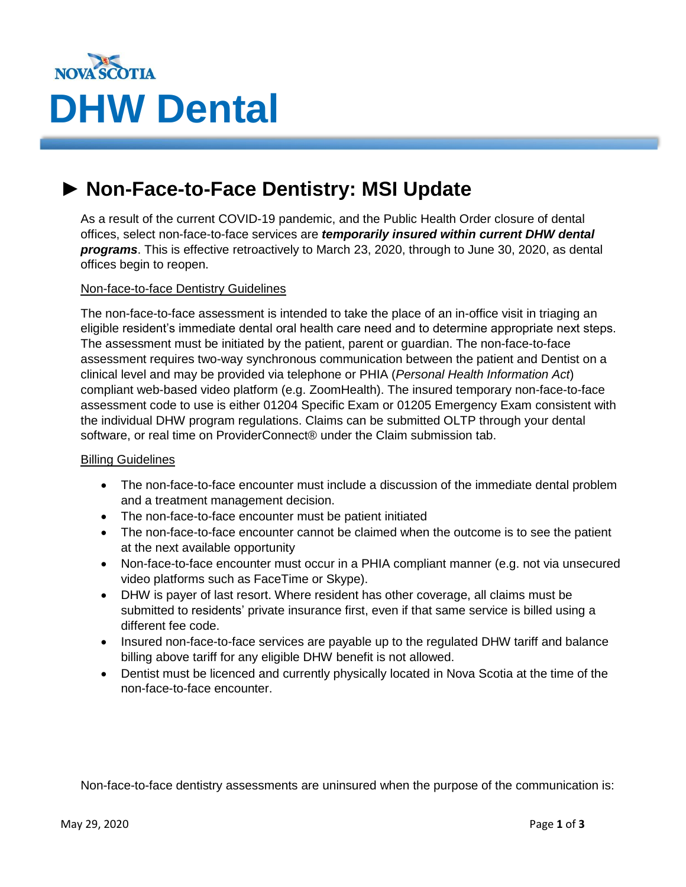

# **► Non-Face-to-Face Dentistry: MSI Update Bulletin**<br>Bulletin

As a result of the current COVID-19 pandemic, and the Public Health Order closure of dental offices, select non-face-to-face services are *temporarily insured within current DHW dental programs*. This is effective retroactively to March 23, 2020, through to June 30, 2020, as dental offices begin to reopen.

#### Non-face-to-face Dentistry Guidelines

The non-face-to-face assessment is intended to take the place of an in-office visit in triaging an eligible resident's immediate dental oral health care need and to determine appropriate next steps. The assessment must be initiated by the patient, parent or guardian. The non-face-to-face assessment requires two-way synchronous communication between the patient and Dentist on a clinical level and may be provided via telephone or PHIA (*Personal Health Information Act*) compliant web-based video platform (e.g. ZoomHealth). The insured temporary non-face-to-face assessment code to use is either 01204 Specific Exam or 01205 Emergency Exam consistent with the individual DHW program regulations. Claims can be submitted OLTP through your dental software, or real time on ProviderConnect® under the Claim submission tab.

#### Billing Guidelines

- The non-face-to-face encounter must include a discussion of the immediate dental problem and a treatment management decision.
- The non-face-to-face encounter must be patient initiated
- The non-face-to-face encounter cannot be claimed when the outcome is to see the patient at the next available opportunity
- Non-face-to-face encounter must occur in a PHIA compliant manner (e.g. not via unsecured video platforms such as FaceTime or Skype).
- DHW is payer of last resort. Where resident has other coverage, all claims must be submitted to residents' private insurance first, even if that same service is billed using a different fee code.
- Insured non-face-to-face services are payable up to the regulated DHW tariff and balance billing above tariff for any eligible DHW benefit is not allowed.
- Dentist must be licenced and currently physically located in Nova Scotia at the time of the non-face-to-face encounter.

Non-face-to-face dentistry assessments are uninsured when the purpose of the communication is: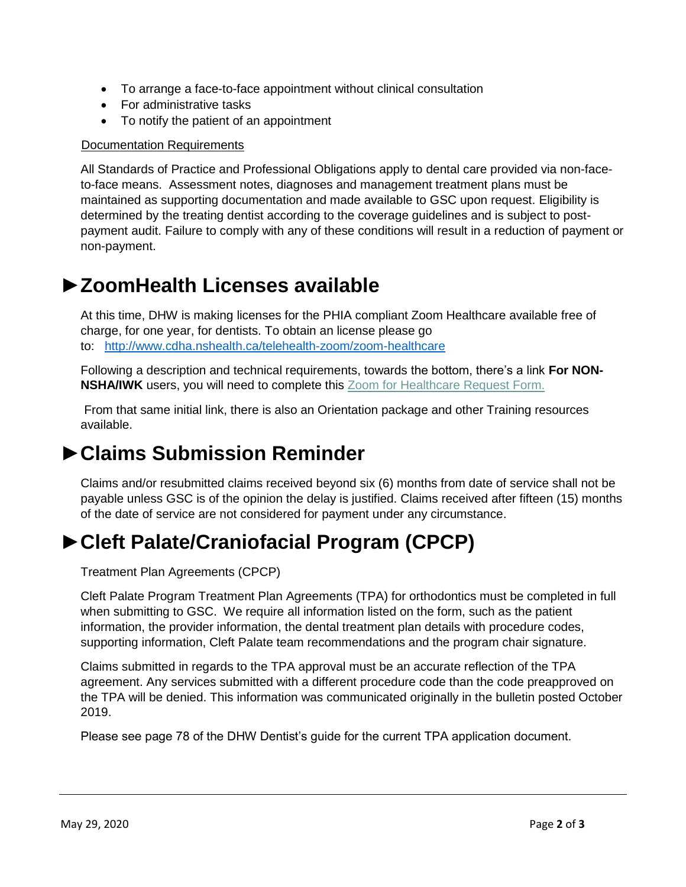- To arrange a face-to-face appointment without clinical consultation
- For administrative tasks
- To notify the patient of an appointment

#### Documentation Requirements

All Standards of Practice and Professional Obligations apply to dental care provided via non-faceto-face means. Assessment notes, diagnoses and management treatment plans must be maintained as supporting documentation and made available to GSC upon request. Eligibility is determined by the treating dentist according to the coverage guidelines and is subject to postpayment audit. Failure to comply with any of these conditions will result in a reduction of payment or non-payment.

### **►ZoomHealth Licenses available**

At this time, DHW is making licenses for the PHIA compliant Zoom Healthcare available free of charge, for one year, for dentists. To obtain an license please go to: <http://www.cdha.nshealth.ca/telehealth-zoom/zoom-healthcare>

Following a description and technical requirements, towards the bottom, there's a link **For NON-NSHA/IWK** users, you will need to complete this **Zoom for [Healthcare](https://survey.nshealth.ca/TakeSurvey.aspx?PageNumber=1&SurveyID=n4KI8692I&Preview=true) Request Form.** 

From that same initial link, there is also an Orientation package and other Training resources available.

## **►Claims Submission Reminder**

Claims and/or resubmitted claims received beyond six (6) months from date of service shall not be payable unless GSC is of the opinion the delay is justified. Claims received after fifteen (15) months of the date of service are not considered for payment under any circumstance.

## **►Cleft Palate/Craniofacial Program (CPCP)**

Treatment Plan Agreements (CPCP)

Cleft Palate Program Treatment Plan Agreements (TPA) for orthodontics must be completed in full when submitting to GSC. We require all information listed on the form, such as the patient information, the provider information, the dental treatment plan details with procedure codes, supporting information, Cleft Palate team recommendations and the program chair signature.

Claims submitted in regards to the TPA approval must be an accurate reflection of the TPA agreement. Any services submitted with a different procedure code than the code preapproved on the TPA will be denied. This information was communicated originally in the bulletin posted October 2019.

Please see page 78 of the DHW Dentist's guide for the current TPA application document.